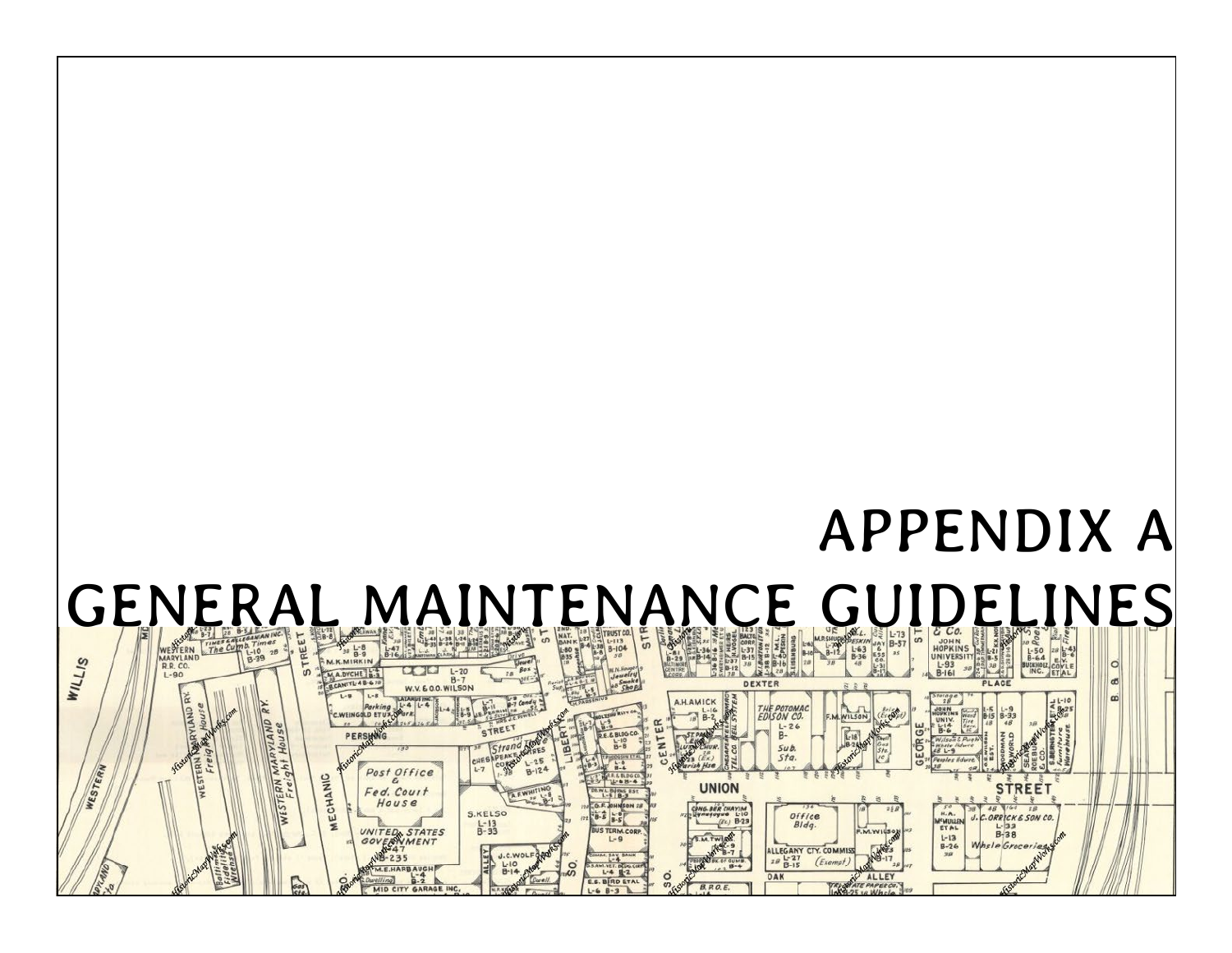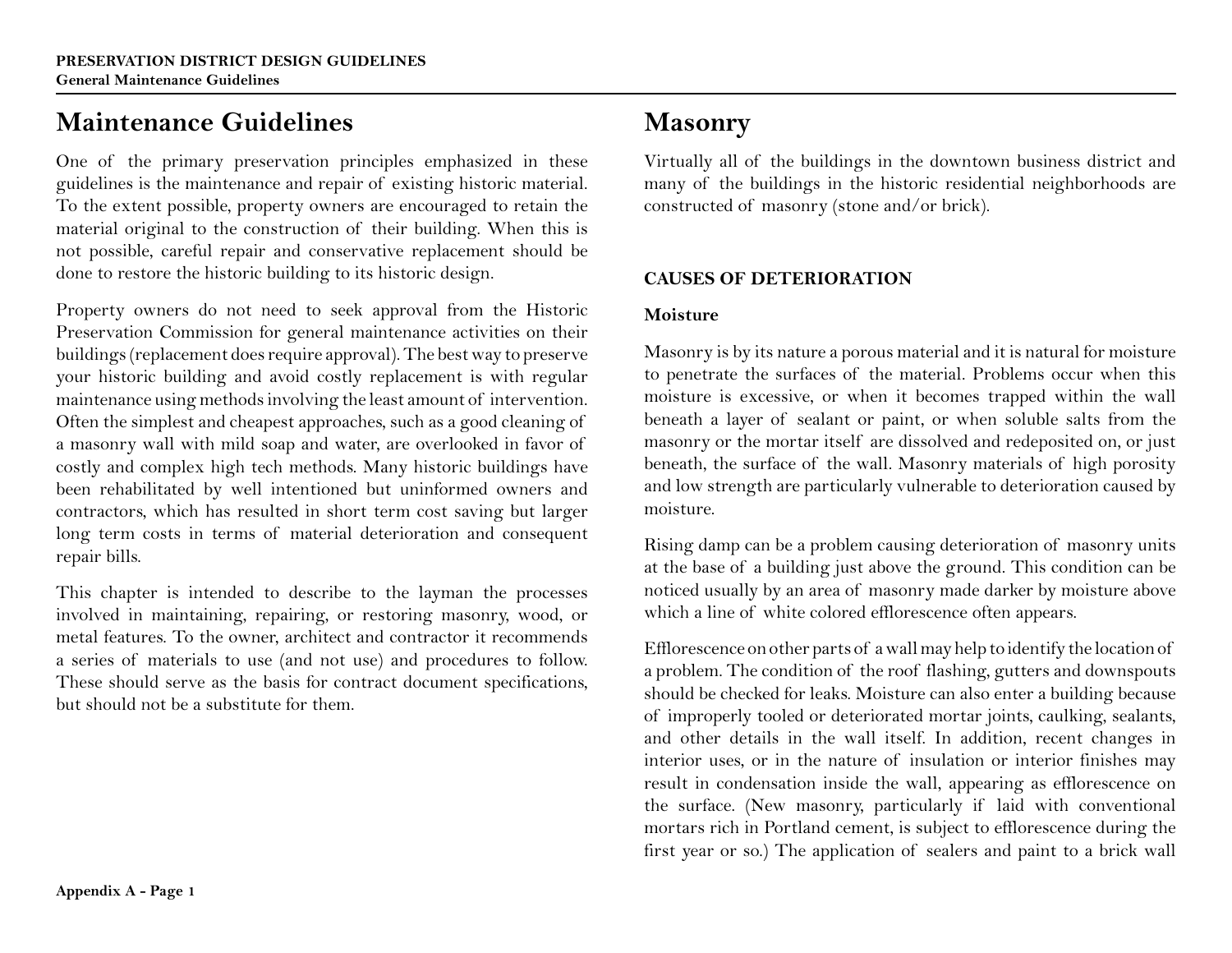# **Maintenance Guidelines**

One of the primary preservation principles emphasized in these guidelines is the maintenance and repair of existing historic material. To the extent possible, property owners are encouraged to retain the material original to the construction of their building. When this is not possible, careful repair and conservative replacement should be done to restore the historic building to its historic design.

Property owners do not need to seek approval from the Historic Preservation Commission for general maintenance activities on their buildings (replacement does require approval). The best way to preserve your historic building and avoid costly replacement is with regular maintenance using methods involving the least amount of intervention. Often the simplest and cheapest approaches, such as a good cleaning of a masonry wall with mild soap and water, are overlooked in favor of costly and complex high tech methods. Many historic buildings have been rehabilitated by well intentioned but uninformed owners and contractors, which has resulted in short term cost saving but larger long term costs in terms of material deterioration and consequent repair bills.

This chapter is intended to describe to the layman the processes involved in maintaining, repairing, or restoring masonry, wood, or metal features. To the owner, architect and contractor it recommends a series of materials to use (and not use) and procedures to follow. These should serve as the basis for contract document specifications, but should not be a substitute for them.

# **Masonry**

Virtually all of the buildings in the downtown business district and many of the buildings in the historic residential neighborhoods are constructed of masonry (stone and/or brick).

# **CAUSES OF DETERIORATION**

## **Moisture**

Masonry is by its nature a porous material and it is natural for moisture to penetrate the surfaces of the material. Problems occur when this moisture is excessive, or when it becomes trapped within the wall beneath a layer of sealant or paint, or when soluble salts from the masonry or the mortar itself are dissolved and redeposited on, or just beneath, the surface of the wall. Masonry materials of high porosity and low strength are particularly vulnerable to deterioration caused by moisture.

Rising damp can be a problem causing deterioration of masonry units at the base of a building just above the ground. This condition can be noticed usually by an area of masonry made darker by moisture above which a line of white colored efflorescence often appears.

Efflorescence on other parts of a wall may help to identify the location of a problem. The condition of the roof flashing, gutters and downspouts should be checked for leaks. Moisture can also enter a building because of improperly tooled or deteriorated mortar joints, caulking, sealants, and other details in the wall itself. In addition, recent changes in interior uses, or in the nature of insulation or interior finishes may result in condensation inside the wall, appearing as efflorescence on the surface. (New masonry, particularly if laid with conventional mortars rich in Portland cement, is subject to efflorescence during the first year or so.) The application of sealers and paint to a brick wall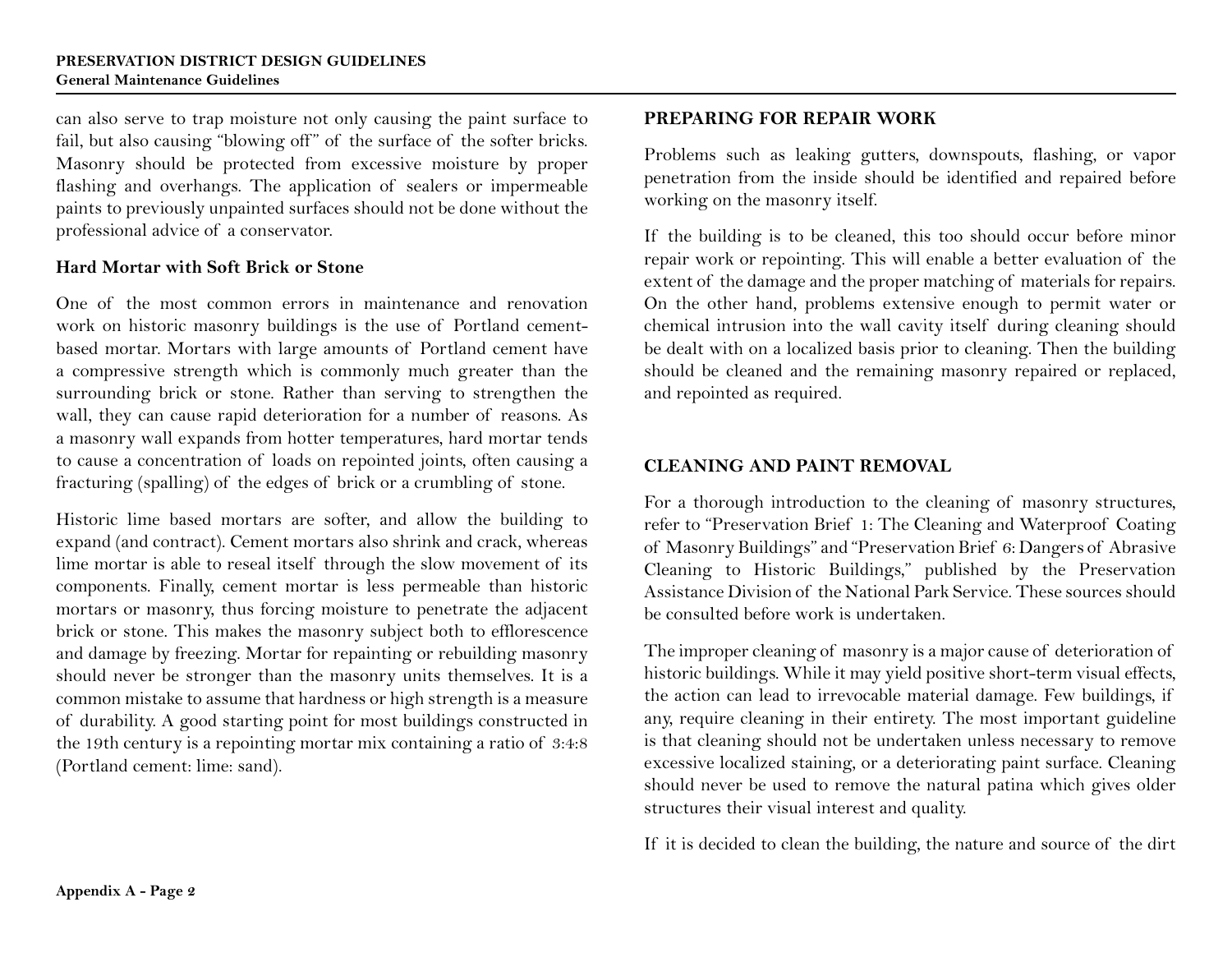can also serve to trap moisture not only causing the paint surface to fail, but also causing "blowing off" of the surface of the softer bricks. Masonry should be protected from excessive moisture by proper flashing and overhangs. The application of sealers or impermeable paints to previously unpainted surfaces should not be done without the professional advice of a conservator.

#### **Hard Mortar with Soft Brick or Stone**

One of the most common errors in maintenance and renovation work on historic masonry buildings is the use of Portland cementbased mortar. Mortars with large amounts of Portland cement have a compressive strength which is commonly much greater than the surrounding brick or stone. Rather than serving to strengthen the wall, they can cause rapid deterioration for a number of reasons. As a masonry wall expands from hotter temperatures, hard mortar tends to cause a concentration of loads on repointed joints, often causing a fracturing (spalling) of the edges of brick or a crumbling of stone.

Historic lime based mortars are softer, and allow the building to expand (and contract). Cement mortars also shrink and crack, whereas lime mortar is able to reseal itself through the slow movement of its components. Finally, cement mortar is less permeable than historic mortars or masonry, thus forcing moisture to penetrate the adjacent brick or stone. This makes the masonry subject both to efflorescence and damage by freezing. Mortar for repainting or rebuilding masonry should never be stronger than the masonry units themselves. It is a common mistake to assume that hardness or high strength is a measure of durability. A good starting point for most buildings constructed in the 19th century is a repointing mortar mix containing a ratio of 3:4:8 (Portland cement: lime: sand).

#### **PREPARING FOR REPAIR WORK**

Problems such as leaking gutters, downspouts, flashing, or vapor penetration from the inside should be identified and repaired before working on the masonry itself.

If the building is to be cleaned, this too should occur before minor repair work or repointing. This will enable a better evaluation of the extent of the damage and the proper matching of materials for repairs. On the other hand, problems extensive enough to permit water or chemical intrusion into the wall cavity itself during cleaning should be dealt with on a localized basis prior to cleaning. Then the building should be cleaned and the remaining masonry repaired or replaced, and repointed as required.

#### **CLEANING AND PAINT REMOVAL**

For a thorough introduction to the cleaning of masonry structures, refer to "Preservation Brief 1: The Cleaning and Waterproof Coating of Masonry Buildings" and "Preservation Brief 6: Dangers of Abrasive Cleaning to Historic Buildings," published by the Preservation Assistance Division of the National Park Service. These sources should be consulted before work is undertaken.

The improper cleaning of masonry is a major cause of deterioration of historic buildings. While it may yield positive short-term visual effects, the action can lead to irrevocable material damage. Few buildings, if any, require cleaning in their entirety. The most important guideline is that cleaning should not be undertaken unless necessary to remove excessive localized staining, or a deteriorating paint surface. Cleaning should never be used to remove the natural patina which gives older structures their visual interest and quality.

If it is decided to clean the building, the nature and source of the dirt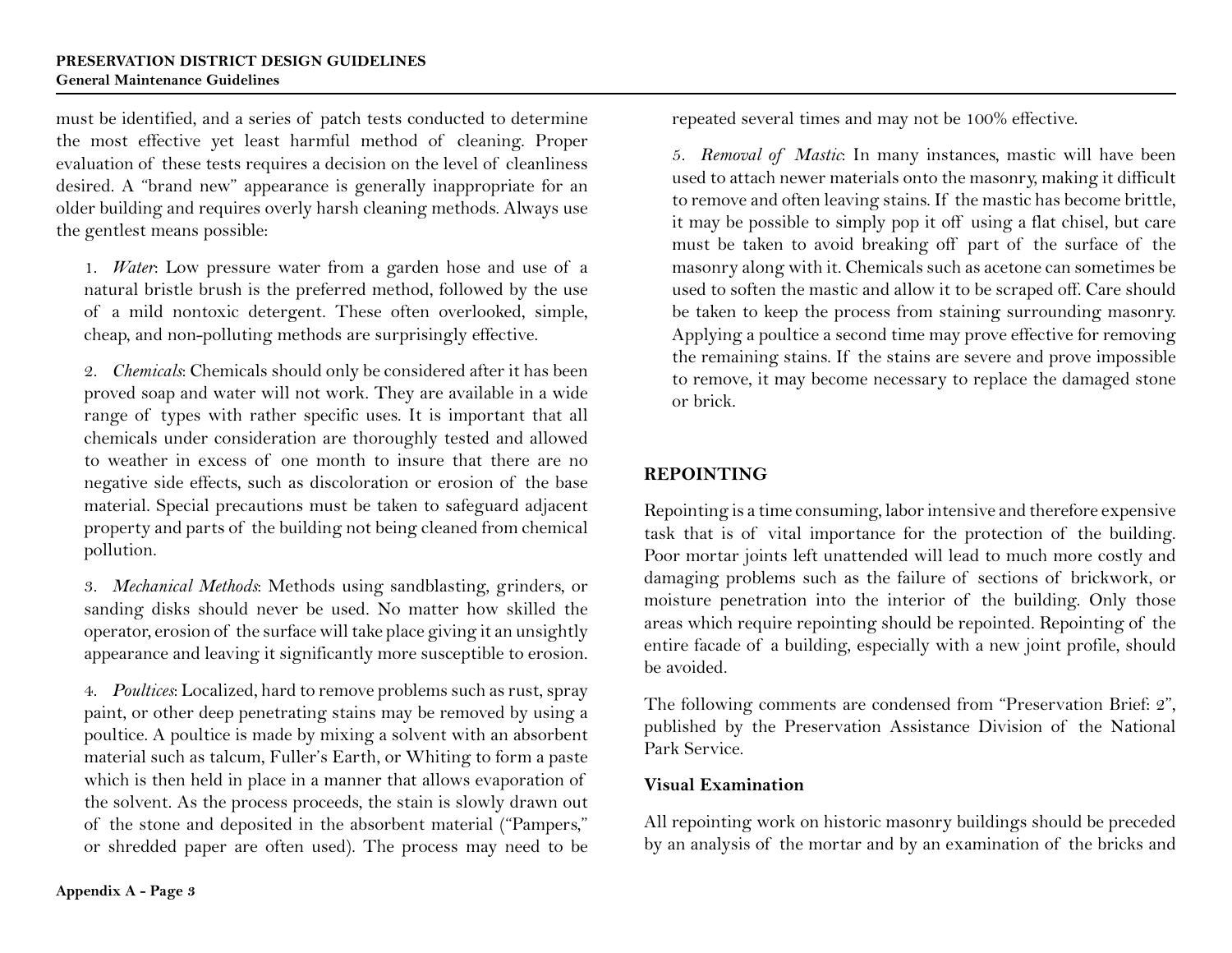must be identified, and a series of patch tests conducted to determine the most effective yet least harmful method of cleaning. Proper evaluation of these tests requires a decision on the level of cleanliness desired. A "brand new" appearance is generally inappropriate for an older building and requires overly harsh cleaning methods. Always use the gentlest means possible:

1. *Water*: Low pressure water from a garden hose and use of a natural bristle brush is the preferred method, followed by the use of a mild nontoxic detergent. These often overlooked, simple, cheap, and non-polluting methods are surprisingly effective.

2. *Chemicals*: Chemicals should only be considered after it has been proved soap and water will not work. They are available in a wide range of types with rather specific uses. It is important that all chemicals under consideration are thoroughly tested and allowed to weather in excess of one month to insure that there are no negative side effects, such as discoloration or erosion of the base material. Special precautions must be taken to safeguard adjacent property and parts of the building not being cleaned from chemical pollution.

3. *Mechanical Methods*: Methods using sandblasting, grinders, or sanding disks should never be used. No matter how skilled the operator, erosion of the surface will take place giving it an unsightly appearance and leaving it significantly more susceptible to erosion.

4. *Poultices*: Localized, hard to remove problems such as rust, spray paint, or other deep penetrating stains may be removed by using a poultice. A poultice is made by mixing a solvent with an absorbent material such as talcum, Fuller's Earth, or Whiting to form a paste which is then held in place in a manner that allows evaporation of the solvent. As the process proceeds, the stain is slowly drawn out of the stone and deposited in the absorbent material ("Pampers," or shredded paper are often used). The process may need to be

repeated several times and may not be 100% effective.

5. *Removal of Mastic*: In many instances, mastic will have been used to attach newer materials onto the masonry, making it difficult to remove and often leaving stains. If the mastic has become brittle, it may be possible to simply pop it off using a flat chisel, but care must be taken to avoid breaking off part of the surface of the masonry along with it. Chemicals such as acetone can sometimes be used to soften the mastic and allow it to be scraped off. Care should be taken to keep the process from staining surrounding masonry. Applying a poultice a second time may prove effective for removing the remaining stains. If the stains are severe and prove impossible to remove, it may become necessary to replace the damaged stone or brick.

#### **REPOINTING**

Repointing is a time consuming, labor intensive and therefore expensive task that is of vital importance for the protection of the building. Poor mortar joints left unattended will lead to much more costly and damaging problems such as the failure of sections of brickwork, or moisture penetration into the interior of the building. Only those areas which require repointing should be repointed. Repointing of the entire facade of a building, especially with a new joint profile, should be avoided.

The following comments are condensed from "Preservation Brief: 2", published by the Preservation Assistance Division of the National Park Service.

#### **Visual Examination**

All repointing work on historic masonry buildings should be preceded by an analysis of the mortar and by an examination of the bricks and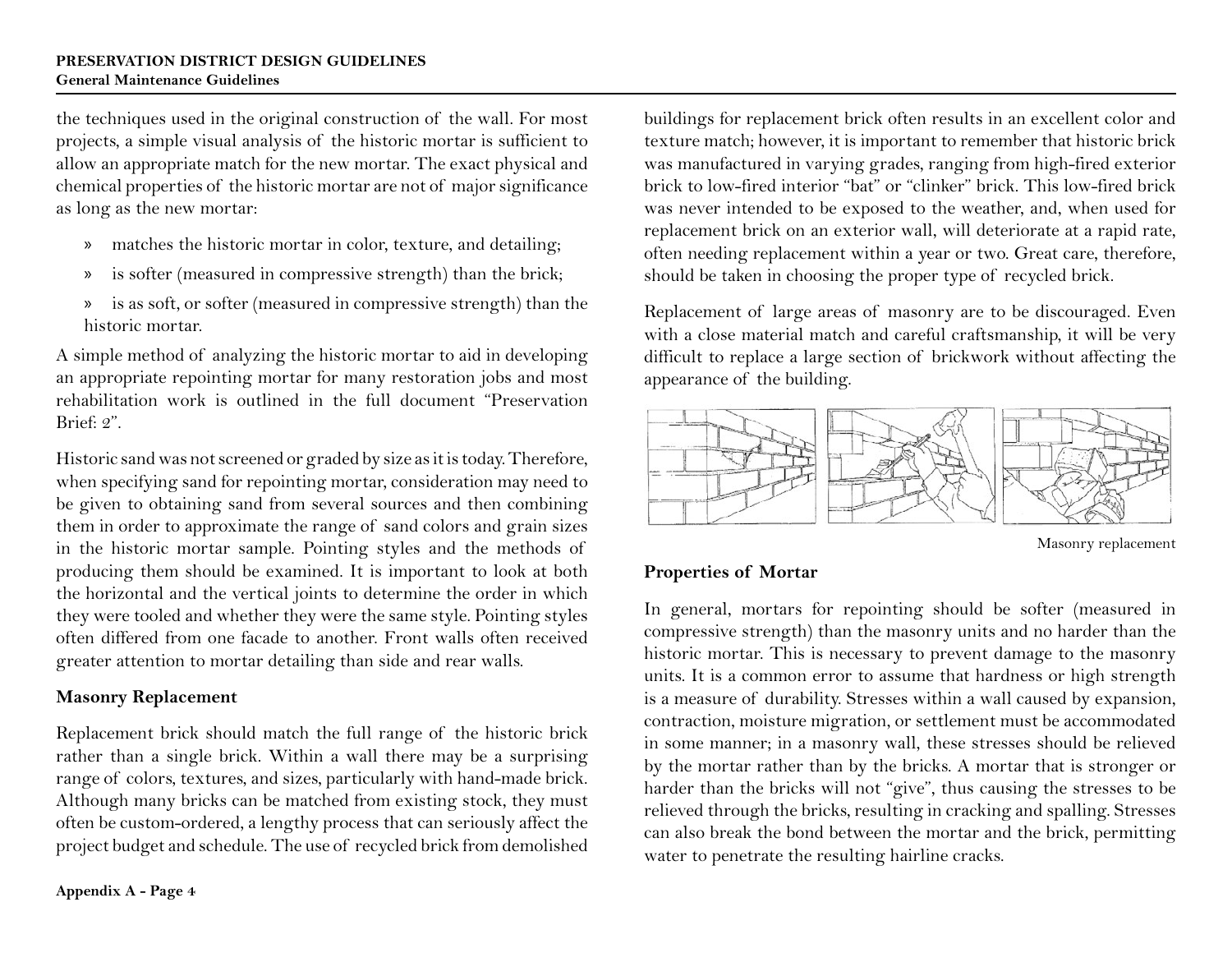the techniques used in the original construction of the wall. For most projects, a simple visual analysis of the historic mortar is sufficient to allow an appropriate match for the new mortar. The exact physical and chemical properties of the historic mortar are not of major significance as long as the new mortar:

- matches the historic mortar in color, texture, and detailing;
- » is softer (measured in compressive strength) than the brick;
- » is as soft, or softer (measured in compressive strength) than the historic mortar.

A simple method of analyzing the historic mortar to aid in developing an appropriate repointing mortar for many restoration jobs and most rehabilitation work is outlined in the full document "Preservation Brief:  $Q''$ .

Historic sand was not screened or graded by size as it is today. Therefore, when specifying sand for repointing mortar, consideration may need to be given to obtaining sand from several sources and then combining them in order to approximate the range of sand colors and grain sizes in the historic mortar sample. Pointing styles and the methods of producing them should be examined. It is important to look at both the horizontal and the vertical joints to determine the order in which they were tooled and whether they were the same style. Pointing styles often differed from one facade to another. Front walls often received greater attention to mortar detailing than side and rear walls.

## **Masonry Replacement**

Replacement brick should match the full range of the historic brick rather than a single brick. Within a wall there may be a surprising range of colors, textures, and sizes, particularly with hand-made brick. Although many bricks can be matched from existing stock, they must often be custom-ordered, a lengthy process that can seriously affect the project budget and schedule. The use of recycled brick from demolished

**Appendix A - Page 4** 

buildings for replacement brick often results in an excellent color and texture match; however, it is important to remember that historic brick was manufactured in varying grades, ranging from high-fired exterior brick to low-fired interior "bat" or "clinker" brick. This low-fired brick was never intended to be exposed to the weather, and, when used for replacement brick on an exterior wall, will deteriorate at a rapid rate, often needing replacement within a year or two. Great care, therefore, should be taken in choosing the proper type of recycled brick.

Replacement of large areas of masonry are to be discouraged. Even with a close material match and careful craftsmanship, it will be very difficult to replace a large section of brickwork without affecting the appearance of the building.



Masonry replacement

### **Properties of Mortar**

In general, mortars for repointing should be softer (measured in compressive strength) than the masonry units and no harder than the historic mortar. This is necessary to prevent damage to the masonry units. It is a common error to assume that hardness or high strength is a measure of durability. Stresses within a wall caused by expansion, contraction, moisture migration, or settlement must be accommodated in some manner; in a masonry wall, these stresses should be relieved by the mortar rather than by the bricks. A mortar that is stronger or harder than the bricks will not "give", thus causing the stresses to be relieved through the bricks, resulting in cracking and spalling. Stresses can also break the bond between the mortar and the brick, permitting water to penetrate the resulting hairline cracks.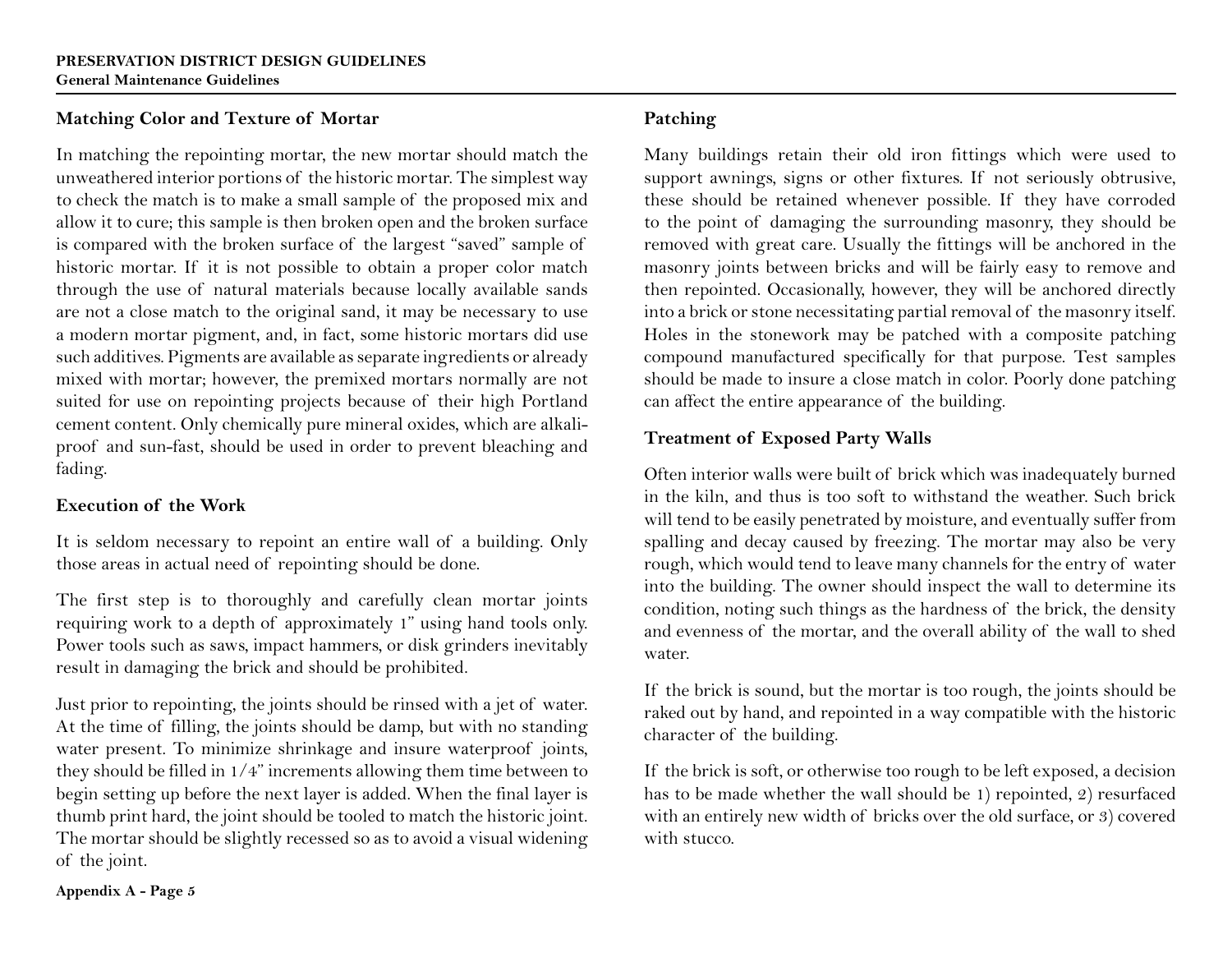# **Matching Color and Texture of Mortar**

In matching the repointing mortar, the new mortar should match the unweathered interior portions of the historic mortar. The simplest way to check the match is to make a small sample of the proposed mix and allow it to cure; this sample is then broken open and the broken surface is compared with the broken surface of the largest "saved" sample of historic mortar. If it is not possible to obtain a proper color match through the use of natural materials because locally available sands are not a close match to the original sand, it may be necessary to use a modern mortar pigment, and, in fact, some historic mortars did use such additives. Pigments are available as separate ingredients or already mixed with mortar; however, the premixed mortars normally are not suited for use on repointing projects because of their high Portland cement content. Only chemically pure mineral oxides, which are alkaliproof and sun-fast, should be used in order to prevent bleaching and fading.

# **Execution of the Work**

It is seldom necessary to repoint an entire wall of a building. Only those areas in actual need of repointing should be done.

The first step is to thoroughly and carefully clean mortar joints requiring work to a depth of approximately 1" using hand tools only. Power tools such as saws, impact hammers, or disk grinders inevitably result in damaging the brick and should be prohibited.

Just prior to repointing, the joints should be rinsed with a jet of water. At the time of filling, the joints should be damp, but with no standing water present. To minimize shrinkage and insure waterproof joints, they should be filled in 1/4" increments allowing them time between to begin setting up before the next layer is added. When the final layer is thumb print hard, the joint should be tooled to match the historic joint. The mortar should be slightly recessed so as to avoid a visual widening of the joint.

# **Patching**

Many buildings retain their old iron fittings which were used to support awnings, signs or other fixtures. If not seriously obtrusive, these should be retained whenever possible. If they have corroded to the point of damaging the surrounding masonry, they should be removed with great care. Usually the fittings will be anchored in the masonry joints between bricks and will be fairly easy to remove and then repointed. Occasionally, however, they will be anchored directly into a brick or stone necessitating partial removal of the masonry itself. Holes in the stonework may be patched with a composite patching compound manufactured specifically for that purpose. Test samples should be made to insure a close match in color. Poorly done patching can affect the entire appearance of the building.

## **Treatment of Exposed Party Walls**

Often interior walls were built of brick which was inadequately burned in the kiln, and thus is too soft to withstand the weather. Such brick will tend to be easily penetrated by moisture, and eventually suffer from spalling and decay caused by freezing. The mortar may also be very rough, which would tend to leave many channels for the entry of water into the building. The owner should inspect the wall to determine its condition, noting such things as the hardness of the brick, the density and evenness of the mortar, and the overall ability of the wall to shed water.

If the brick is sound, but the mortar is too rough, the joints should be raked out by hand, and repointed in a way compatible with the historic character of the building.

If the brick is soft, or otherwise too rough to be left exposed, a decision has to be made whether the wall should be 1) repointed, 2) resurfaced with an entirely new width of bricks over the old surface, or 3) covered with stucco.

**Appendix A - Page 5**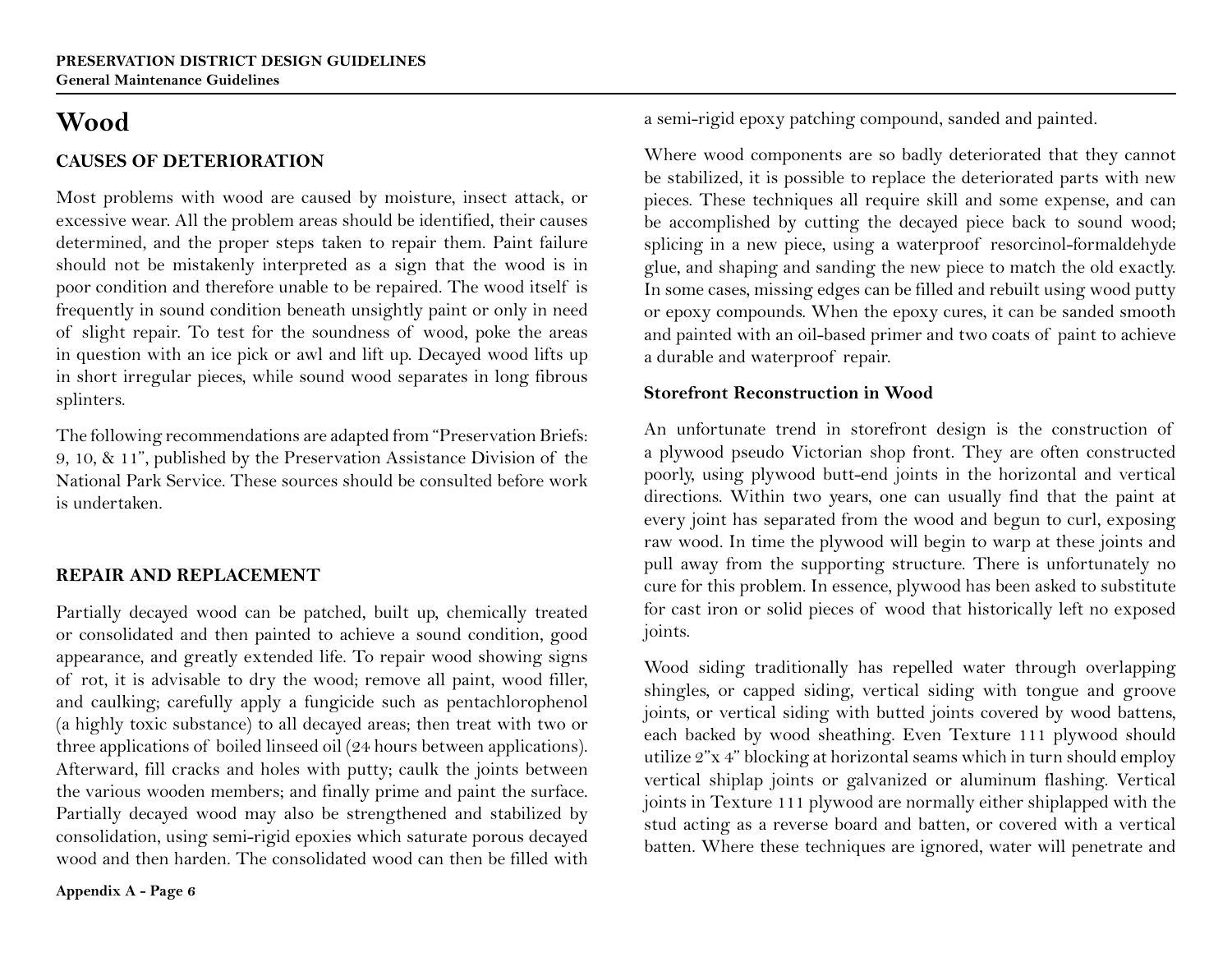# **Wood**

## **CAUSES OF DETERIORATION**

Most problems with wood are caused by moisture, insect attack, or excessive wear. All the problem areas should be identified, their causes determined, and the proper steps taken to repair them. Paint failure should not be mistakenly interpreted as a sign that the wood is in poor condition and therefore unable to be repaired. The wood itself is frequently in sound condition beneath unsightly paint or only in need of slight repair. To test for the soundness of wood, poke the areas in question with an ice pick or awl and lift up. Decayed wood lifts up in short irregular pieces, while sound wood separates in long fibrous splinters.

The following recommendations are adapted from "Preservation Briefs: 9, 10, & 11", published by the Preservation Assistance Division of the National Park Service. These sources should be consulted before work is undertaken.

# **REPAIR AND REPLACEMENT**

Partially decayed wood can be patched, built up, chemically treated or consolidated and then painted to achieve a sound condition, good appearance, and greatly extended life. To repair wood showing signs of rot, it is advisable to dry the wood; remove all paint, wood filler, and caulking; carefully apply a fungicide such as pentachlorophenol (a highly toxic substance) to all decayed areas; then treat with two or three applications of boiled linseed oil (24 hours between applications). Afterward, fill cracks and holes with putty; caulk the joints between the various wooden members; and finally prime and paint the surface. Partially decayed wood may also be strengthened and stabilized by consolidation, using semi-rigid epoxies which saturate porous decayed wood and then harden. The consolidated wood can then be filled with

**Appendix A - Page 6** 

a semi-rigid epoxy patching compound, sanded and painted.

Where wood components are so badly deteriorated that they cannot be stabilized, it is possible to replace the deteriorated parts with new pieces. These techniques all require skill and some expense, and can be accomplished by cutting the decayed piece back to sound wood; splicing in a new piece, using a waterproof resorcinol-formaldehyde glue, and shaping and sanding the new piece to match the old exactly. In some cases, missing edges can be filled and rebuilt using wood putty or epoxy compounds. When the epoxy cures, it can be sanded smooth and painted with an oil-based primer and two coats of paint to achieve a durable and waterproof repair.

### **Storefront Reconstruction in Wood**

An unfortunate trend in storefront design is the construction of a plywood pseudo Victorian shop front. They are often constructed poorly, using plywood butt-end joints in the horizontal and vertical directions. Within two years, one can usually find that the paint at every joint has separated from the wood and begun to curl, exposing raw wood. In time the plywood will begin to warp at these joints and pull away from the supporting structure. There is unfortunately no cure for this problem. In essence, plywood has been asked to substitute for cast iron or solid pieces of wood that historically left no exposed joints.

Wood siding traditionally has repelled water through overlapping shingles, or capped siding, vertical siding with tongue and groove joints, or vertical siding with butted joints covered by wood battens, each backed by wood sheathing. Even Texture 111 plywood should utilize 2"x 4" blocking at horizontal seams which in turn should employ vertical shiplap joints or galvanized or aluminum flashing. Vertical joints in Texture 111 plywood are normally either shiplapped with the stud acting as a reverse board and batten, or covered with a vertical batten. Where these techniques are ignored, water will penetrate and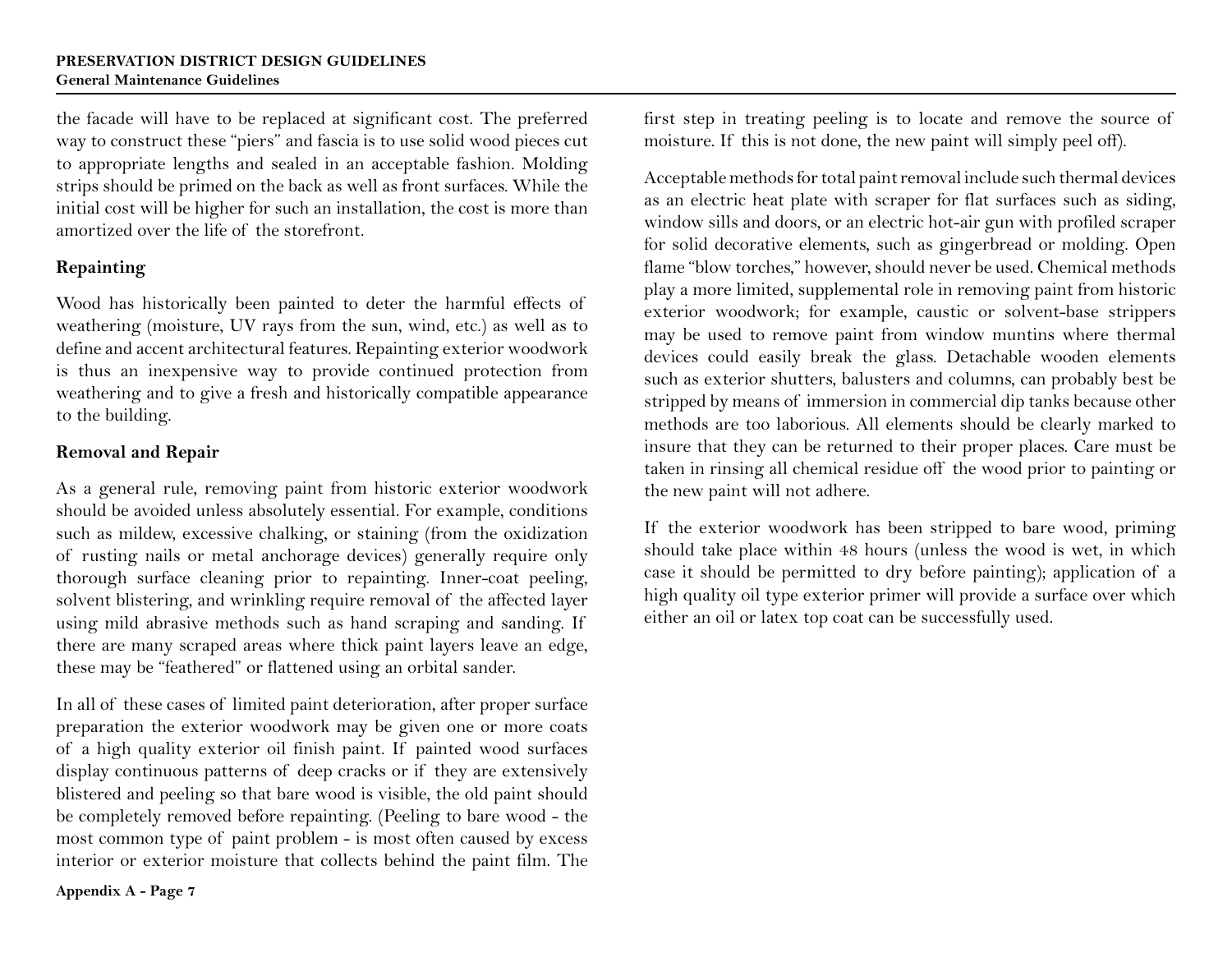the facade will have to be replaced at significant cost. The preferred way to construct these "piers" and fascia is to use solid wood pieces cut to appropriate lengths and sealed in an acceptable fashion. Molding strips should be primed on the back as well as front surfaces. While the initial cost will be higher for such an installation, the cost is more than amortized over the life of the storefront.

## **Repainting**

Wood has historically been painted to deter the harmful effects of weathering (moisture, UV rays from the sun, wind, etc.) as well as to define and accent architectural features. Repainting exterior woodwork is thus an inexpensive way to provide continued protection from weathering and to give a fresh and historically compatible appearance to the building.

### **Removal and Repair**

As a general rule, removing paint from historic exterior woodwork should be avoided unless absolutely essential. For example, conditions such as mildew, excessive chalking, or staining (from the oxidization of rusting nails or metal anchorage devices) generally require only thorough surface cleaning prior to repainting. Inner-coat peeling, solvent blistering, and wrinkling require removal of the affected layer using mild abrasive methods such as hand scraping and sanding. If there are many scraped areas where thick paint layers leave an edge, these may be "feathered" or flattened using an orbital sander.

In all of these cases of limited paint deterioration, after proper surface preparation the exterior woodwork may be given one or more coats of a high quality exterior oil finish paint. If painted wood surfaces display continuous patterns of deep cracks or if they are extensively blistered and peeling so that bare wood is visible, the old paint should be completely removed before repainting. (Peeling to bare wood - the most common type of paint problem - is most often caused by excess interior or exterior moisture that collects behind the paint film. The first step in treating peeling is to locate and remove the source of moisture. If this is not done, the new paint will simply peel off).

Acceptable methods for total paint removal include such thermal devices as an electric heat plate with scraper for flat surfaces such as siding, window sills and doors, or an electric hot-air gun with profiled scraper for solid decorative elements, such as gingerbread or molding. Open flame "blow torches," however, should never be used. Chemical methods play a more limited, supplemental role in removing paint from historic exterior woodwork; for example, caustic or solvent-base strippers may be used to remove paint from window muntins where thermal devices could easily break the glass. Detachable wooden elements such as exterior shutters, balusters and columns, can probably best be stripped by means of immersion in commercial dip tanks because other methods are too laborious. All elements should be clearly marked to insure that they can be returned to their proper places. Care must be taken in rinsing all chemical residue off the wood prior to painting or the new paint will not adhere.

If the exterior woodwork has been stripped to bare wood, priming should take place within 48 hours (unless the wood is wet, in which case it should be permitted to dry before painting); application of a high quality oil type exterior primer will provide a surface over which either an oil or latex top coat can be successfully used.

**Appendix A - Page 7**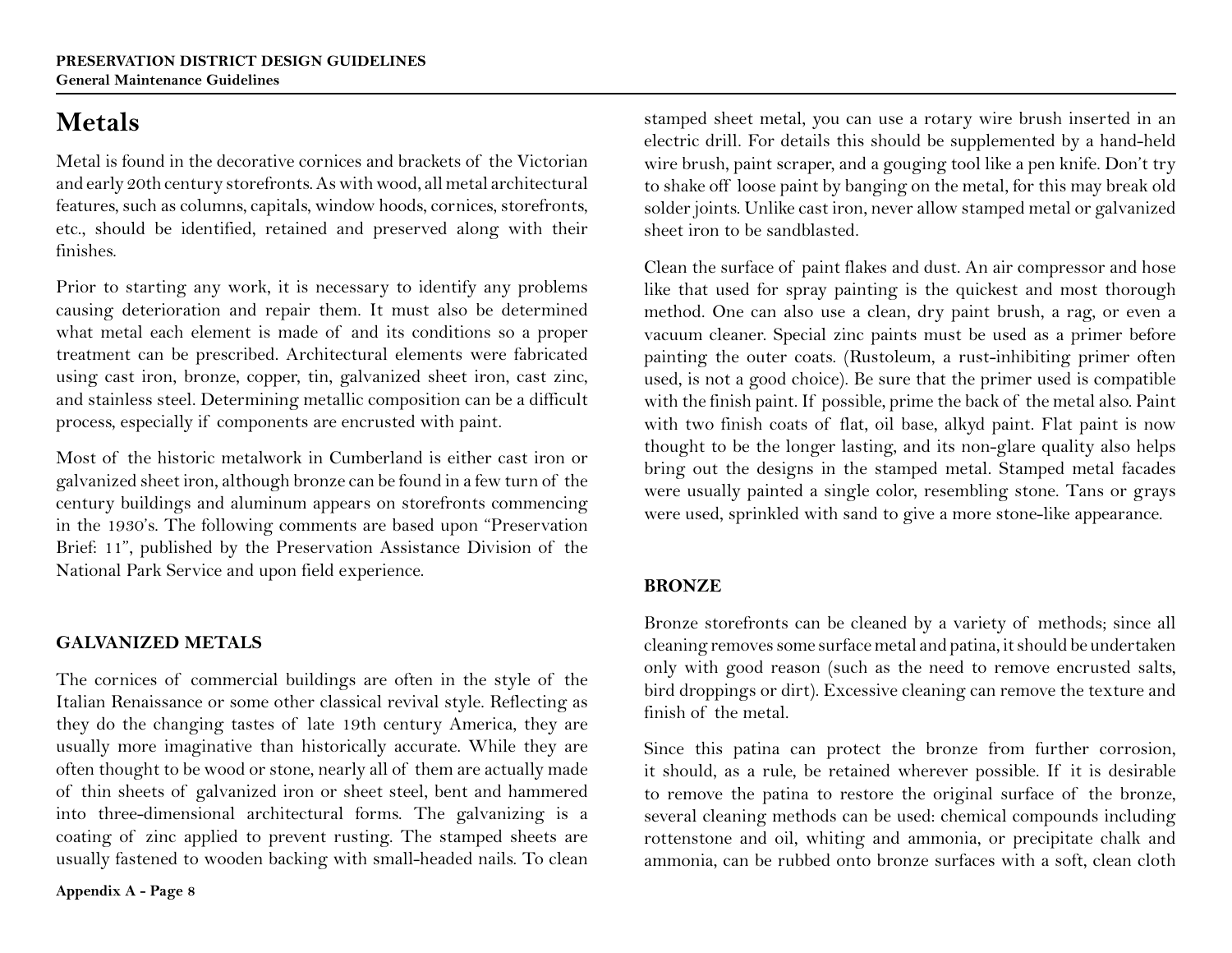# **Metals**

Metal is found in the decorative cornices and brackets of the Victorian and early 20th century storefronts. As with wood, all metal architectural features, such as columns, capitals, window hoods, cornices, storefronts, etc., should be identified, retained and preserved along with their finishes.

Prior to starting any work, it is necessary to identify any problems causing deterioration and repair them. It must also be determined what metal each element is made of and its conditions so a proper treatment can be prescribed. Architectural elements were fabricated using cast iron, bronze, copper, tin, galvanized sheet iron, cast zinc, and stainless steel. Determining metallic composition can be a difficult process, especially if components are encrusted with paint.

Most of the historic metalwork in Cumberland is either cast iron or galvanized sheet iron, although bronze can be found in a few turn of the century buildings and aluminum appears on storefronts commencing in the 1930's. The following comments are based upon "Preservation Brief: 11", published by the Preservation Assistance Division of the National Park Service and upon field experience.

### **GALVANIZED METALS**

The cornices of commercial buildings are often in the style of the Italian Renaissance or some other classical revival style. Reflecting as they do the changing tastes of late 19th century America, they are usually more imaginative than historically accurate. While they are often thought to be wood or stone, nearly all of them are actually made of thin sheets of galvanized iron or sheet steel, bent and hammered into three-dimensional architectural forms. The galvanizing is a coating of zinc applied to prevent rusting. The stamped sheets are usually fastened to wooden backing with small-headed nails. To clean

stamped sheet metal, you can use a rotary wire brush inserted in an electric drill. For details this should be supplemented by a hand-held wire brush, paint scraper, and a gouging tool like a pen knife. Don't try to shake off loose paint by banging on the metal, for this may break old solder joints. Unlike cast iron, never allow stamped metal or galvanized sheet iron to be sandblasted.

Clean the surface of paint flakes and dust. An air compressor and hose like that used for spray painting is the quickest and most thorough method. One can also use a clean, dry paint brush, a rag, or even a vacuum cleaner. Special zinc paints must be used as a primer before painting the outer coats. (Rustoleum, a rust-inhibiting primer often used, is not a good choice). Be sure that the primer used is compatible with the finish paint. If possible, prime the back of the metal also. Paint with two finish coats of flat, oil base, alkyd paint. Flat paint is now thought to be the longer lasting, and its non-glare quality also helps bring out the designs in the stamped metal. Stamped metal facades were usually painted a single color, resembling stone. Tans or grays were used, sprinkled with sand to give a more stone-like appearance.

### **BRONZE**

Bronze storefronts can be cleaned by a variety of methods; since all cleaning removes some surface metal and patina, it should be undertaken only with good reason (such as the need to remove encrusted salts, bird droppings or dirt). Excessive cleaning can remove the texture and finish of the metal.

Since this patina can protect the bronze from further corrosion, it should, as a rule, be retained wherever possible. If it is desirable to remove the patina to restore the original surface of the bronze, several cleaning methods can be used: chemical compounds including rottenstone and oil, whiting and ammonia, or precipitate chalk and ammonia, can be rubbed onto bronze surfaces with a soft, clean cloth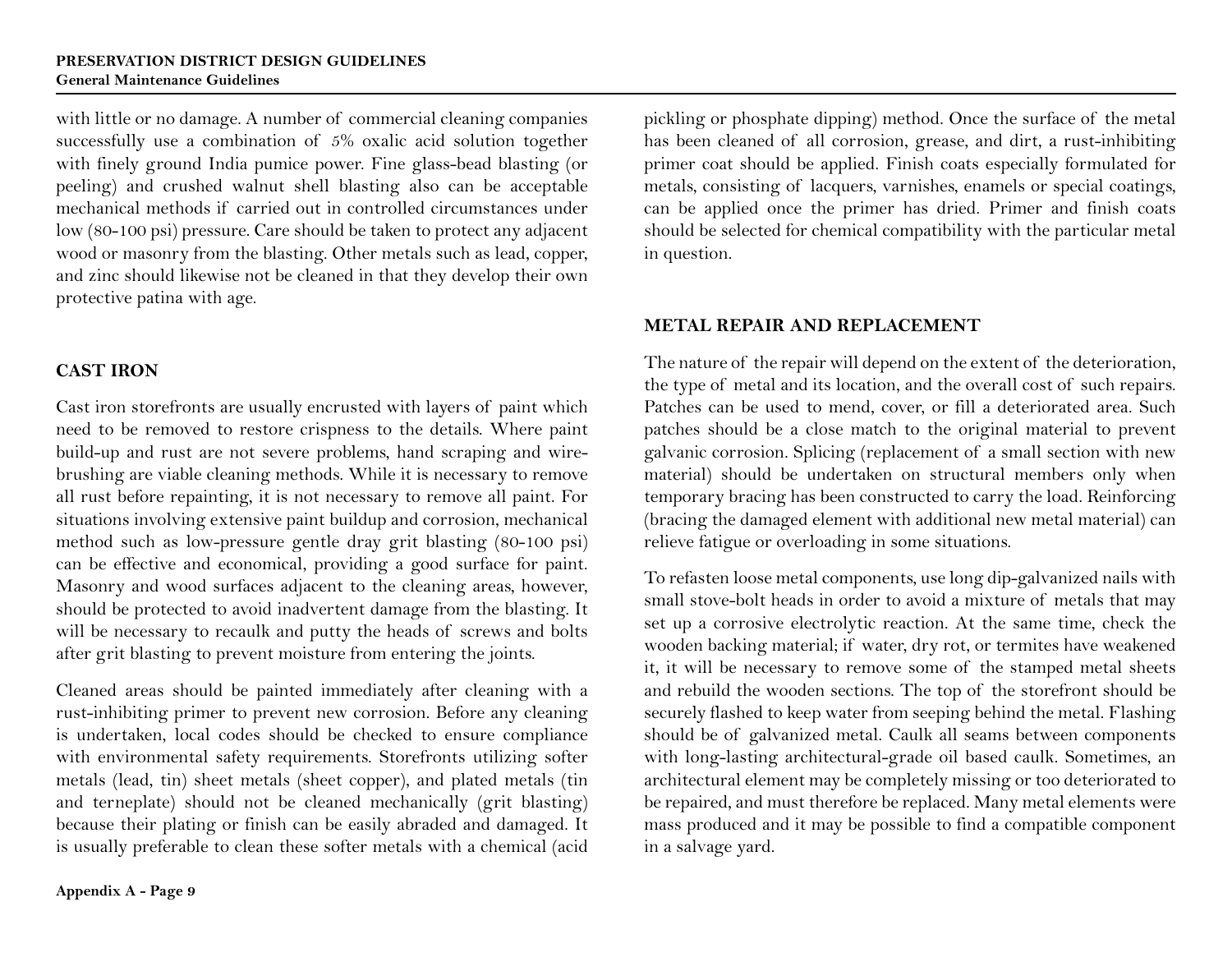with little or no damage. A number of commercial cleaning companies successfully use a combination of 5% oxalic acid solution together with finely ground India pumice power. Fine glass-bead blasting (or peeling) and crushed walnut shell blasting also can be acceptable mechanical methods if carried out in controlled circumstances under low (80-100 psi) pressure. Care should be taken to protect any adjacent wood or masonry from the blasting. Other metals such as lead, copper, and zinc should likewise not be cleaned in that they develop their own protective patina with age.

### **CAST IRON**

Cast iron storefronts are usually encrusted with layers of paint which need to be removed to restore crispness to the details. Where paint build-up and rust are not severe problems, hand scraping and wirebrushing are viable cleaning methods. While it is necessary to remove all rust before repainting, it is not necessary to remove all paint. For situations involving extensive paint buildup and corrosion, mechanical method such as low-pressure gentle dray grit blasting (80-100 psi) can be effective and economical, providing a good surface for paint. Masonry and wood surfaces adjacent to the cleaning areas, however, should be protected to avoid inadvertent damage from the blasting. It will be necessary to recaulk and putty the heads of screws and bolts after grit blasting to prevent moisture from entering the joints.

Cleaned areas should be painted immediately after cleaning with a rust-inhibiting primer to prevent new corrosion. Before any cleaning is undertaken, local codes should be checked to ensure compliance with environmental safety requirements. Storefronts utilizing softer metals (lead, tin) sheet metals (sheet copper), and plated metals (tin and terneplate) should not be cleaned mechanically (grit blasting) because their plating or finish can be easily abraded and damaged. It is usually preferable to clean these softer metals with a chemical (acid

pickling or phosphate dipping) method. Once the surface of the metal has been cleaned of all corrosion, grease, and dirt, a rust-inhibiting primer coat should be applied. Finish coats especially formulated for metals, consisting of lacquers, varnishes, enamels or special coatings, can be applied once the primer has dried. Primer and finish coats should be selected for chemical compatibility with the particular metal in question.

### **METAL REPAIR AND REPLACEMENT**

The nature of the repair will depend on the extent of the deterioration, the type of metal and its location, and the overall cost of such repairs. Patches can be used to mend, cover, or fill a deteriorated area. Such patches should be a close match to the original material to prevent galvanic corrosion. Splicing (replacement of a small section with new material) should be undertaken on structural members only when temporary bracing has been constructed to carry the load. Reinforcing (bracing the damaged element with additional new metal material) can relieve fatigue or overloading in some situations.

To refasten loose metal components, use long dip-galvanized nails with small stove-bolt heads in order to avoid a mixture of metals that may set up a corrosive electrolytic reaction. At the same time, check the wooden backing material; if water, dry rot, or termites have weakened it, it will be necessary to remove some of the stamped metal sheets and rebuild the wooden sections. The top of the storefront should be securely flashed to keep water from seeping behind the metal. Flashing should be of galvanized metal. Caulk all seams between components with long-lasting architectural-grade oil based caulk. Sometimes, an architectural element may be completely missing or too deteriorated to be repaired, and must therefore be replaced. Many metal elements were mass produced and it may be possible to find a compatible component in a salvage yard.